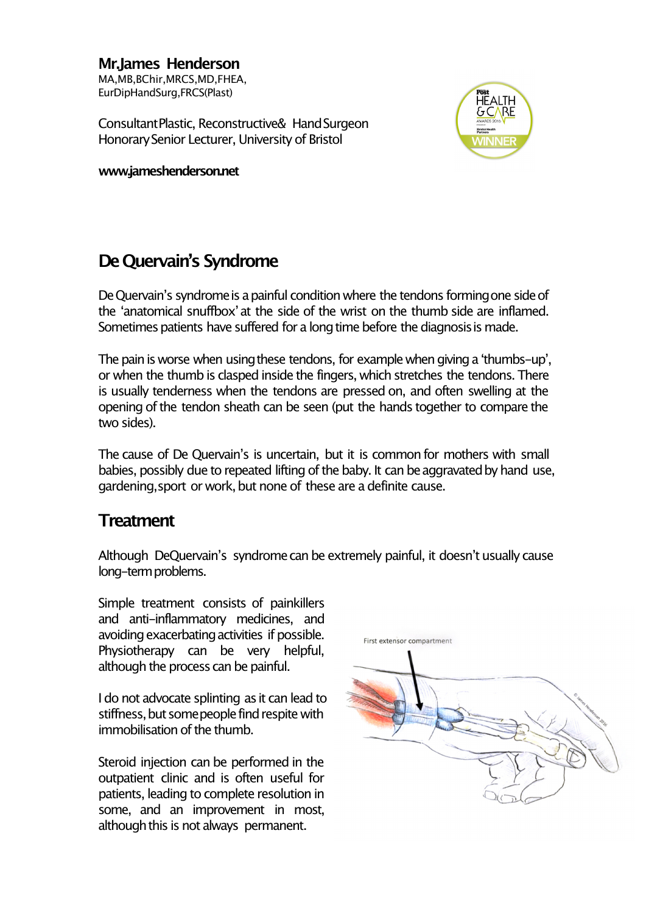## **Mr.James Henderson** MA,MB,BChir,MRCS,MD,FHEA, EurDipHandSurg,FRCS(Plast)

ConsultantPlastic, Reconstructive& HandSurgeon HonorarySenior Lecturer, University of Bristol

**www.jameshenderson.net**



## **De Quervain's Syndrome**

De Quervain's syndrome is a painful condition where the tendons forming one side of the ʻanatomical snuffbox'at the side of the wrist on the thumb side are inflamed. Sometimes patients have suffered for a long time before the diagnosis is made.

The pain is worse when using these tendons, for example when giving a 'thumbs-up', or when the thumb is clasped inside the fingers, which stretches the tendons. There is usually tenderness when the tendons are pressed on, and often swelling at the opening of the tendon sheath can be seen (put the hands together to compare the two sides).

The cause of De Quervain's is uncertain, but it is commonfor mothers with small babies, possibly due to repeated lifting of the baby. It can be aggravated by hand use, gardening, sport or work, but none of these are a definite cause.

## **Treatment**

Although DeQuervain's syndromecan be extremely painful, it doesn't usually cause long-termproblems.

Simple treatment consists of painkillers and anti-inflammatory medicines, and avoiding exacerbating activities if possible. Physiotherapy can be very helpful, although the process can be painful.

I do not advocate splinting as it can lead to stiffness, but some people find respite with immobilisation of the thumb.

Steroid injection can be performed in the outpatient clinic and is often useful for patients, leading to complete resolution in some, and an improvement in most, although this is not always permanent.